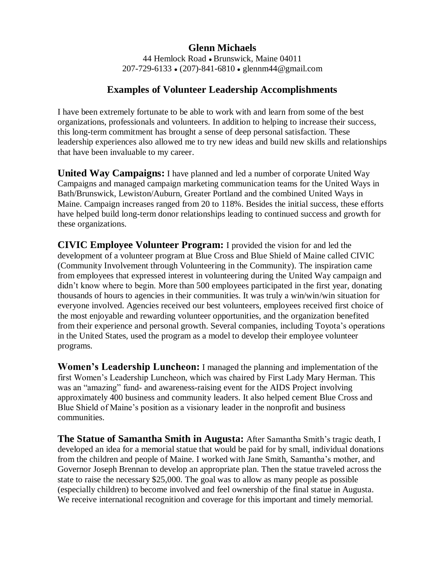## **Glenn Michaels**

44 Hemlock Road • Brunswick, Maine 04011 207-729-6133 ● (207)-841-6810 ● glennm44@gmail.com

## **Examples of Volunteer Leadership Accomplishments**

I have been extremely fortunate to be able to work with and learn from some of the best organizations, professionals and volunteers. In addition to helping to increase their success, this long-term commitment has brought a sense of deep personal satisfaction. These leadership experiences also allowed me to try new ideas and build new skills and relationships that have been invaluable to my career.

**United Way Campaigns:** I have planned and led a number of corporate United Way Campaigns and managed campaign marketing communication teams for the United Ways in Bath/Brunswick, Lewiston/Auburn, Greater Portland and the combined United Ways in Maine. Campaign increases ranged from 20 to 118%. Besides the initial success, these efforts have helped build long-term donor relationships leading to continued success and growth for these organizations.

**CIVIC Employee Volunteer Program:** I provided the vision for and led the development of a volunteer program at Blue Cross and Blue Shield of Maine called CIVIC (Community Involvement through Volunteering in the Community). The inspiration came from employees that expressed interest in volunteering during the United Way campaign and didn't know where to begin. More than 500 employees participated in the first year, donating thousands of hours to agencies in their communities. It was truly a win/win/win situation for everyone involved. Agencies received our best volunteers, employees received first choice of the most enjoyable and rewarding volunteer opportunities, and the organization benefited from their experience and personal growth. Several companies, including Toyota's operations in the United States, used the program as a model to develop their employee volunteer programs.

**Women's Leadership Luncheon:** I managed the planning and implementation of the first Women's Leadership Luncheon, which was chaired by First Lady Mary Herman. This was an "amazing" fund- and awareness-raising event for the AIDS Project involving approximately 400 business and community leaders. It also helped cement Blue Cross and Blue Shield of Maine's position as a visionary leader in the nonprofit and business communities.

**The Statue of Samantha Smith in Augusta:** After Samantha Smith's tragic death, I developed an idea for a memorial statue that would be paid for by small, individual donations from the children and people of Maine. I worked with Jane Smith, Samantha's mother, and Governor Joseph Brennan to develop an appropriate plan. Then the statue traveled across the state to raise the necessary \$25,000. The goal was to allow as many people as possible (especially children) to become involved and feel ownership of the final statue in Augusta. We receive international recognition and coverage for this important and timely memorial.